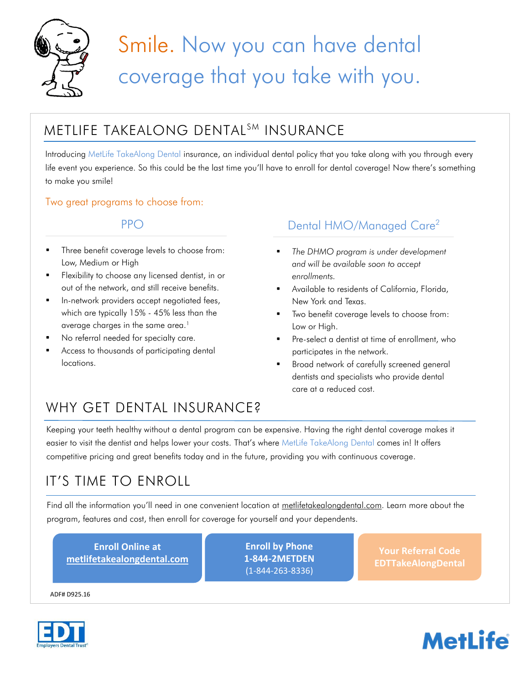

# Smile. Now you can have dental coverage that you take with you.

## METLIFE TAKEALONG DENTAL<sup>SM</sup> INSURANCE

Introducing MetLife TakeAlong Dental insurance, an individual dental policy that you take along with you through every life event you experience. So this could be the last time you'll have to enroll for dental coverage! Now there's something to make you smile!

#### Two great programs to choose from:

- Three benefit coverage levels to choose from: Low, Medium or High
- Flexibility to choose any licensed dentist, in or out of the network, and still receive benefits.
- In-network providers accept negotiated fees, which are typically 15% - 45% less than the average charges in the same area.<sup>1</sup>
- No referral needed for specialty care.
- Access to thousands of participating dental locations.

### PPO Dental HMO/Managed Care<sup>2</sup>

- *The DHMO program is under development and will be available soon to accept enrollments.*
- Available to residents of California, Florida, New York and Texas.
- Two benefit coverage levels to choose from: Low or High.
- Pre-select a dentist at time of enrollment, who participates in the network.
- Broad network of carefully screened general dentists and specialists who provide dental care at a reduced cost.

# WHY GET DENTAL INSURANCE?

Keeping your teeth healthy without a dental program can be expensive. Having the right dental coverage makes it easier to visit the dentist and helps lower your costs. That's where MetLife TakeAlong Dental comes in! It offers competitive pricing and great benefits today and in the future, providing you with continuous coverage.

# IT'S TIME TO ENROLL

Find all the information you'll need in one convenient location at [metlifetakealongdental.com.](http://www.www.www/) Learn more about the program, features and cost, then enroll for coverage for yourself and your dependents.

| <b>Enroll Online at</b><br>metlifetakealongdental.com | <b>Enroll by Phone</b><br>1-844-2METDEN<br>$(1 - 844 - 263 - 8336)$ | l Your Referral Code.<br><b>EDTTakeAlongDental</b> |
|-------------------------------------------------------|---------------------------------------------------------------------|----------------------------------------------------|
|                                                       |                                                                     |                                                    |

ADF# D925.16